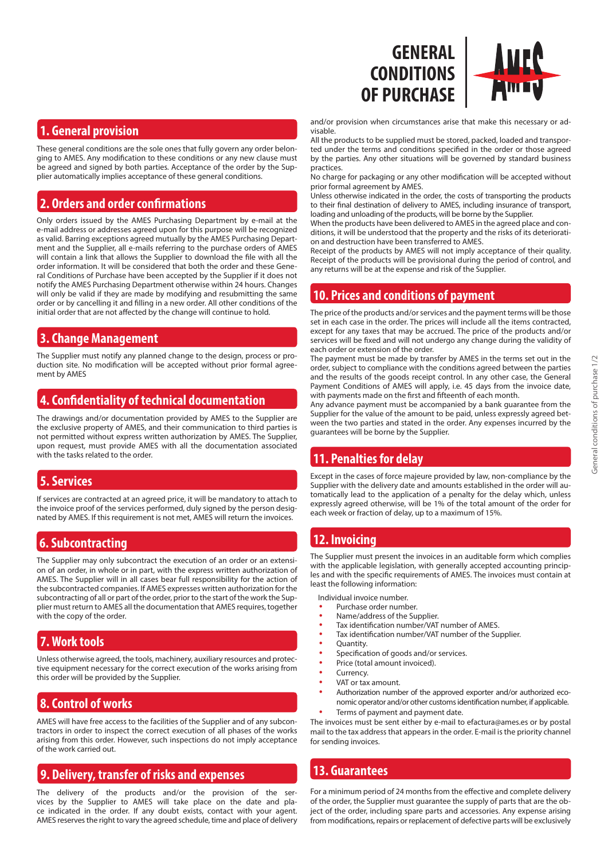

These general conditions are the sole ones that fully govern any order belonging to AMES. Any modification to these conditions or any new clause must be agreed and signed by both parties. Acceptance of the order by the Supplier automatically implies acceptance of these general conditions.

# **2. Orders and order confirmations**

Only orders issued by the AMES Purchasing Department by e-mail at the e-mail address or addresses agreed upon for this purpose will be recognized as valid. Barring exceptions agreed mutually by the AMES Purchasing Department and the Supplier, all e-mails referring to the purchase orders of AMES will contain a link that allows the Supplier to download the file with all the order information. It will be considered that both the order and these General Conditions of Purchase have been accepted by the Supplier if it does not notify the AMES Purchasing Department otherwise within 24 hours. Changes will only be valid if they are made by modifying and resubmitting the same order or by cancelling it and filling in a new order. All other conditions of the initial order that are not affected by the change will continue to hold.

# **3. Change Management**

The Supplier must notify any planned change to the design, process or production site. No modification will be accepted without prior formal agreement by AMES

#### **4. Confidentiality of technical documentation**

The drawings and/or documentation provided by AMES to the Supplier are the exclusive property of AMES, and their communication to third parties is not permitted without express written authorization by AMES. The Supplier, upon request, must provide AMES with all the documentation associated with the tasks related to the order.

# **5. Services**

If services are contracted at an agreed price, it will be mandatory to attach to the invoice proof of the services performed, duly signed by the person designated by AMES. If this requirement is not met, AMES will return the invoices.

#### **6. Subcontracting**

The Supplier may only subcontract the execution of an order or an extension of an order, in whole or in part, with the express written authorization of AMES. The Supplier will in all cases bear full responsibility for the action of the subcontracted companies. If AMES expresses written authorization for the subcontracting of all or part of the order, prior to the start of the work the Supplier must return to AMES all the documentation that AMES requires, together with the copy of the order.

# **7. Work tools**

Unless otherwise agreed, the tools, machinery, auxiliary resources and protective equipment necessary for the correct execution of the works arising from this order will be provided by the Supplier.

# **8. Control of works**

AMES will have free access to the facilities of the Supplier and of any subcontractors in order to inspect the correct execution of all phases of the works arising from this order. However, such inspections do not imply acceptance of the work carried out.

# **9. Delivery, transfer of risks and expenses**

The delivery of the products and/or the provision of the services by the Supplier to AMES will take place on the date and place indicated in the order. If any doubt exists, contact with your agent. AMES reserves the right to vary the agreed schedule, time and place of delivery



and/or provision when circumstances arise that make this necessary or advisable.

All the products to be supplied must be stored, packed, loaded and transported under the terms and conditions specified in the order or those agreed by the parties. Any other situations will be governed by standard business practices.

No charge for packaging or any other modification will be accepted without prior formal agreement by AMES.

Unless otherwise indicated in the order, the costs of transporting the products to their final destination of delivery to AMES, including insurance of transport, loading and unloading of the products, will be borne by the Supplier.

When the products have been delivered to AMES in the agreed place and conditions, it will be understood that the property and the risks of its deterioration and destruction have been transferred to AMES.

Receipt of the products by AMES will not imply acceptance of their quality. Receipt of the products will be provisional during the period of control, and any returns will be at the expense and risk of the Supplier.

# **10. Prices and conditions of payment**

The price of the products and/or services and the payment terms will be those set in each case in the order. The prices will include all the items contracted, except for any taxes that may be accrued. The price of the products and/or services will be fixed and will not undergo any change during the validity of each order or extension of the order.

The payment must be made by transfer by AMES in the terms set out in the order, subject to compliance with the conditions agreed between the parties and the results of the goods receipt control. In any other case, the General Payment Conditions of AMES will apply, i.e. 45 days from the invoice date, with payments made on the first and fifteenth of each month.

Any advance payment must be accompanied by a bank guarantee from the Supplier for the value of the amount to be paid, unless expressly agreed between the two parties and stated in the order. Any expenses incurred by the guarantees will be borne by the Supplier.

# **11. Penalties for delay**

Except in the cases of force majeure provided by law, non-compliance by the Supplier with the delivery date and amounts established in the order will automatically lead to the application of a penalty for the delay which, unless expressly agreed otherwise, will be 1% of the total amount of the order for each week or fraction of delay, up to a maximum of 15%.

# **12. Invoicing**

The Supplier must present the invoices in an auditable form which complies with the applicable legislation, with generally accepted accounting principles and with the specific requirements of AMES. The invoices must contain at least the following information:

Individual invoice number.

- Purchase order number.
- Name/address of the Supplier.
- Tax identification number/VAT number of AMES.
- Tax identification number/VAT number of the Supplier.
- Quantity.
- Specification of goods and/or services.
	- Price (total amount invoiced).
- Currency.
- VAT or tax amount.
- Authorization number of the approved exporter and/or authorized economic operator and/or other customs identification number, if applicable.
- Terms of payment and payment date.

The invoices must be sent either by e-mail to efactura@ames.es or by postal mail to the tax address that appears in the order. E-mail is the priority channel for sending invoices.

# **13. Guarantees**

For a minimum period of 24 months from the effective and complete delivery of the order, the Supplier must guarantee the supply of parts that are the object of the order, including spare parts and accessories. Any expense arising from modifications, repairs or replacement of defective parts will be exclusively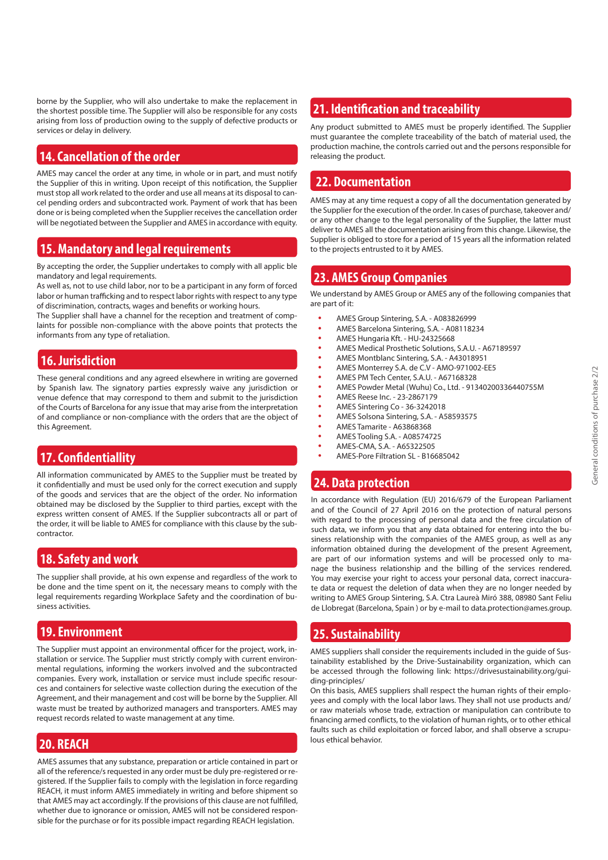borne by the Supplier, who will also undertake to make the replacement in the shortest possible time. The Supplier will also be responsible for any costs arising from loss of production owing to the supply of defective products or services or delay in delivery.

### **14. Cancellation of the order**

AMES may cancel the order at any time, in whole or in part, and must notify the Supplier of this in writing. Upon receipt of this notification, the Supplier must stop all work related to the order and use all means at its disposal to cancel pending orders and subcontracted work. Payment of work that has been done or is being completed when the Supplier receives the cancellation order will be negotiated between the Supplier and AMES in accordance with equity.

# **15. Mandatory and legal requirements**

By accepting the order, the Supplier undertakes to comply with all applic ble mandatory and legal requirements.

As well as, not to use child labor, nor to be a participant in any form of forced labor or human trafficking and to respect labor rights with respect to any type of discrimination, contracts, wages and benefits or working hours.

The Supplier shall have a channel for the reception and treatment of complaints for possible non-compliance with the above points that protects the informants from any type of retaliation.

### **16. Jurisdiction**

These general conditions and any agreed elsewhere in writing are governed by Spanish law. The signatory parties expressly waive any jurisdiction or venue defence that may correspond to them and submit to the jurisdiction of the Courts of Barcelona for any issue that may arise from the interpretation of and compliance or non-compliance with the orders that are the object of this Agreement.

#### **17. Confidentiallity**

All information communicated by AMES to the Supplier must be treated by it confidentially and must be used only for the correct execution and supply of the goods and services that are the object of the order. No information obtained may be disclosed by the Supplier to third parties, except with the express written consent of AMES. If the Supplier subcontracts all or part of the order, it will be liable to AMES for compliance with this clause by the subcontractor.

#### **18. Safety and work**

The supplier shall provide, at his own expense and regardless of the work to be done and the time spent on it, the necessary means to comply with the legal requirements regarding Workplace Safety and the coordination of business activities.

#### **19. Environment**

The Supplier must appoint an environmental officer for the project, work, installation or service. The Supplier must strictly comply with current environmental regulations, informing the workers involved and the subcontracted companies. Every work, installation or service must include specific resources and containers for selective waste collection during the execution of the Agreement, and their management and cost will be borne by the Supplier. All waste must be treated by authorized managers and transporters. AMES may request records related to waste management at any time.

# **20. REACH**

AMES assumes that any substance, preparation or article contained in part or all of the reference/s requested in any order must be duly pre-registered or registered. If the Supplier fails to comply with the legislation in force regarding REACH, it must inform AMES immediately in writing and before shipment so that AMES may act accordingly. If the provisions of this clause are not fulfilled, whether due to ignorance or omission, AMES will not be considered responsible for the purchase or for its possible impact regarding REACH legislation.

# **21. Identification and traceability**

Any product submitted to AMES must be properly identified. The Supplier must guarantee the complete traceability of the batch of material used, the production machine, the controls carried out and the persons responsible for releasing the product.

# **22. Documentation**

AMES may at any time request a copy of all the documentation generated by the Supplier for the execution of the order. In cases of purchase, takeover and/ or any other change to the legal personality of the Supplier, the latter must deliver to AMES all the documentation arising from this change. Likewise, the Supplier is obliged to store for a period of 15 years all the information related to the projects entrusted to it by AMES.

#### **23. AMES Group Companies**

We understand by AMES Group or AMES any of the following companies that are part of it:

- AMES Group Sintering, S.A. A083826999
- AMES Barcelona Sintering, S.A. A08118234
- AMES Hungaria Kft. HU-24325668
- AMES Medical Prosthetic Solutions, S.A.U. A67189597
- AMES Montblanc Sintering, S.A. A43018951
- AMES Monterrey S.A. de C.V AMO-971002-EE5
- AMES PM Tech Center, S.A.U. A67168328
- AMES Powder Metal (Wuhu) Co., Ltd. 91340200336440755M
- AMES Reese Inc. 23-2867179
- AMES Sintering Co 36-3242018
- AMES Solsona Sintering, S.A. A58593575
- AMES Tamarite A63868368
- AMES Tooling S.A. A08574725
- AMES-CMA, S.A. A65322505
- AMES-Pore Filtration SL B16685042

# **24. Data protection**

In accordance with Regulation (EU) 2016/679 of the European Parliament and of the Council of 27 April 2016 on the protection of natural persons with regard to the processing of personal data and the free circulation of such data, we inform you that any data obtained for entering into the business relationship with the companies of the AMES group, as well as any information obtained during the development of the present Agreement, are part of our information systems and will be processed only to manage the business relationship and the billing of the services rendered. You may exercise your right to access your personal data, correct inaccurate data or request the deletion of data when they are no longer needed by writing to AMES Group Sintering, S.A. Ctra Laureà Miró 388, 08980 Sant Feliu de Llobregat (Barcelona, Spain ) or by e-mail to data.protection@ames.group.

# **25. Sustainability**

AMES suppliers shall consider the requirements included in the guide of Sustainability established by the Drive-Sustainability organization, which can be accessed through the following link: https://drivesustainability.org/guiding-principles/

On this basis, AMES suppliers shall respect the human rights of their employees and comply with the local labor laws. They shall not use products and/ or raw materials whose trade, extraction or manipulation can contribute to financing armed conflicts, to the violation of human rights, or to other ethical faults such as child exploitation or forced labor, and shall observe a scrupulous ethical behavior.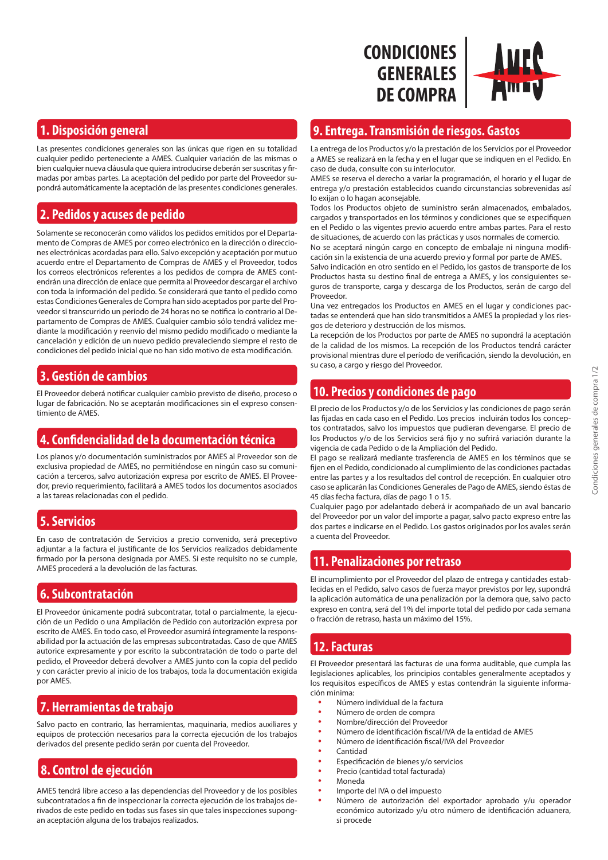# **CONDICIONES GENERALES DE COMPRA**



### **1. Disposición general**

Las presentes condiciones generales son las únicas que rigen en su totalidad cualquier pedido perteneciente a AMES. Cualquier variación de las mismas o bien cualquier nueva cláusula que quiera introducirse deberán ser suscritas y firmadas por ambas partes. La aceptación del pedido por parte del Proveedor supondrá automáticamente la aceptación de las presentes condiciones generales.

# **2. Pedidos y acuses de pedido**

Solamente se reconocerán como válidos los pedidos emitidos por el Departamento de Compras de AMES por correo electrónico en la dirección o direcciones electrónicas acordadas para ello. Salvo excepción y aceptación por mutuo acuerdo entre el Departamento de Compras de AMES y el Proveedor, todos los correos electrónicos referentes a los pedidos de compra de AMES contendrán una dirección de enlace que permita al Proveedor descargar el archivo con toda la información del pedido. Se considerará que tanto el pedido como estas Condiciones Generales de Compra han sido aceptados por parte del Proveedor si transcurrido un periodo de 24 horas no se notifica lo contrario al Departamento de Compras de AMES. Cualquier cambio sólo tendrá validez mediante la modificación y reenvío del mismo pedido modificado o mediante la cancelación y edición de un nuevo pedido prevaleciendo siempre el resto de condiciones del pedido inicial que no han sido motivo de esta modificación.

# **3. Gestión de cambios**

El Proveedor deberá notificar cualquier cambio previsto de diseño, proceso o lugar de fabricación. No se aceptarán modificaciones sin el expreso consentimiento de AMES.

# **4. Confidencialidad de la documentación técnica**

Los planos y/o documentación suministrados por AMES al Proveedor son de exclusiva propiedad de AMES, no permitiéndose en ningún caso su comunicación a terceros, salvo autorización expresa por escrito de AMES. El Proveedor, previo requerimiento, facilitará a AMES todos los documentos asociados a las tareas relacionadas con el pedido.

# **5. Servicios**

En caso de contratación de Servicios a precio convenido, será preceptivo adjuntar a la factura el justificante de los Servicios realizados debidamente firmado por la persona designada por AMES. Si este requisito no se cumple, AMES procederá a la devolución de las facturas.

# **6. Subcontratación**

El Proveedor únicamente podrá subcontratar, total o parcialmente, la ejecución de un Pedido o una Ampliación de Pedido con autorización expresa por escrito de AMES. En todo caso, el Proveedor asumirá íntegramente la responsabilidad por la actuación de las empresas subcontratadas. Caso de que AMES autorice expresamente y por escrito la subcontratación de todo o parte del pedido, el Proveedor deberá devolver a AMES junto con la copia del pedido y con carácter previo al inicio de los trabajos, toda la documentación exigida por AMES.

# **7. Herramientas de trabajo**

Salvo pacto en contrario, las herramientas, maquinaria, medios auxiliares y equipos de protección necesarios para la correcta ejecución de los trabajos derivados del presente pedido serán por cuenta del Proveedor.

# **8. Control de ejecución**

AMES tendrá libre acceso a las dependencias del Proveedor y de los posibles subcontratados a fin de inspeccionar la correcta ejecución de los trabajos derivados de este pedido en todas sus fases sin que tales inspecciones supongan aceptación alguna de los trabajos realizados.

### **9. Entrega. Transmisión de riesgos. Gastos**

La entrega de los Productos y/o la prestación de los Servicios por el Proveedor a AMES se realizará en la fecha y en el lugar que se indiquen en el Pedido. En caso de duda, consulte con su interlocutor.

AMES se reserva el derecho a variar la programación, el horario y el lugar de entrega y/o prestación establecidos cuando circunstancias sobrevenidas así lo exijan o lo hagan aconsejable.

Todos los Productos objeto de suministro serán almacenados, embalados, cargados y transportados en los términos y condiciones que se especifiquen en el Pedido o las vigentes previo acuerdo entre ambas partes. Para el resto de situaciones, de acuerdo con las prácticas y usos normales de comercio.

No se aceptará ningún cargo en concepto de embalaje ni ninguna modificación sin la existencia de una acuerdo previo y formal por parte de AMES.

Salvo indicación en otro sentido en el Pedido, los gastos de transporte de los Productos hasta su destino final de entrega a AMES, y los consiguientes seguros de transporte, carga y descarga de los Productos, serán de cargo del Proveedor.

Una vez entregados los Productos en AMES en el lugar y condiciones pactadas se entenderá que han sido transmitidos a AMES la propiedad y los riesgos de deterioro y destrucción de los mismos.

La recepción de los Productos por parte de AMES no supondrá la aceptación de la calidad de los mismos. La recepción de los Productos tendrá carácter provisional mientras dure el período de verificación, siendo la devolución, en su caso, a cargo y riesgo del Proveedor.

# **10. Precios y condiciones de pago**

El precio de los Productos y/o de los Servicios y las condiciones de pago serán las fijadas en cada caso en el Pedido. Los precios incluirán todos los conceptos contratados, salvo los impuestos que pudieran devengarse. El precio de los Productos y/o de los Servicios será fijo y no sufrirá variación durante la vigencia de cada Pedido o de la Ampliación del Pedido.

El pago se realizará mediante trasferencia de AMES en los términos que se fijen en el Pedido, condicionado al cumplimiento de las condiciones pactadas entre las partes y a los resultados del control de recepción. En cualquier otro caso se aplicarán las Condiciones Generales de Pago de AMES, siendo éstas de 45 días fecha factura, días de pago 1 o 15.

Cualquier pago por adelantado deberá ir acompañado de un aval bancario del Proveedor por un valor del importe a pagar, salvo pacto expreso entre las dos partes e indicarse en el Pedido. Los gastos originados por los avales serán a cuenta del Proveedor.

# **11. Penalizaciones por retraso**

El incumplimiento por el Proveedor del plazo de entrega y cantidades establecidas en el Pedido, salvo casos de fuerza mayor previstos por ley, supondrá la aplicación automática de una penalización por la demora que, salvo pacto expreso en contra, será del 1% del importe total del pedido por cada semana o fracción de retraso, hasta un máximo del 15%.

# **12. Facturas**

El Proveedor presentará las facturas de una forma auditable, que cumpla las legislaciones aplicables, los principios contables generalmente aceptados y los requisitos específicos de AMES y estas contendrán la siguiente información mínima:

- Número individual de la factura
- Número de orden de compra
- Nombre/dirección del Proveedor
- Número de identificación fiscal/IVA de la entidad de AMES
- Número de identificación fiscal/IVA del Proveedor
	- Cantidad
- Especificación de bienes y/o servicios
- Precio (cantidad total facturada)
- Moneda
- Importe del IVA o del impuesto
- Número de autorización del exportador aprobado y/u operador económico autorizado y/u otro número de identificación aduanera, si procede